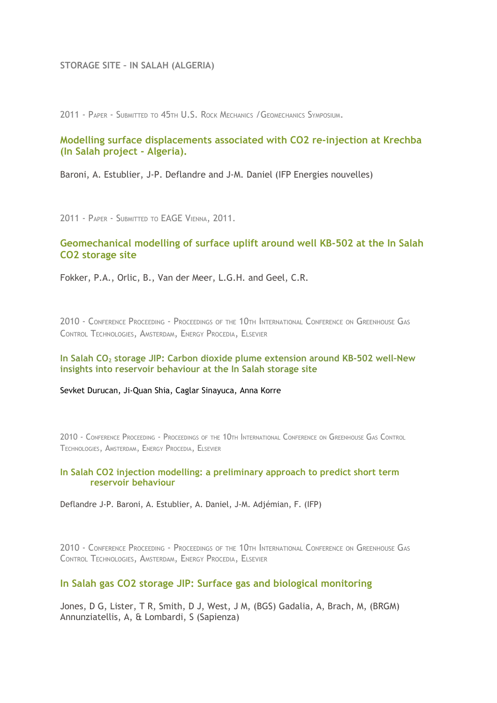### **STORAGE SITE – IN SALAH (ALGERIA)**

2011 - PAPER - SUBMITTED TO 45TH U.S. ROCK MECHANICS /GEOMECHANICS SYMPOSIUM.

# **[Modelling surface displacements associated with CO2 re-injection at Krechba](http://www.co2remove.eu/SciPublicationsData.aspx?IdPublication=43&IdType=417) [\(In Salah project - Algeria\).](http://www.co2remove.eu/SciPublicationsData.aspx?IdPublication=43&IdType=417)**

Baroni, A. Estublier, J-P. Deflandre and J-M. Daniel (IFP Energies nouvelles)

2011 - PAPER - SUBMITTED TO EAGE VIENNA, 2011.

# **[Geomechanical modelling of surface uplift around well KB-502 at the In Salah](http://www.co2remove.eu/SciPublicationsData.aspx?IdPublication=45&IdType=417) [CO2 storage site](http://www.co2remove.eu/SciPublicationsData.aspx?IdPublication=45&IdType=417)**

Fokker, P.A., Orlic, B., Van der Meer, L.G.H. and Geel, C.R.

2010 - CONFERENCE PROCEEDING - PROCEEDINGS OF THE 10TH INTERNATIONAL CONFERENCE ON GREENHOUSE GAS CONTROL TECHNOLOGIES, AMSTERDAM, ENERGY PROCEDIA, ELSEVIER

#### **In Salah CO2 storage JIP: Carbon dioxide plume extension around KB-502 well–New insights into reservoir behaviour at the In Salah storage site**

Sevket Durucan, Ji-Quan Shia, Caglar Sinayuca, Anna Korre

2010 - CONFERENCE PROCEEDING - PROCEEDINGS OF THE 10TH INTERNATIONAL CONFERENCE ON GREENHOUSE GAS CONTROL TECHNOLOGIES, AMSTERDAM, ENERGY PROCEDIA, ELSEVIER

### **[In Salah CO2 injection modelling: a preliminary approach to predict short term](http://www.co2remove.eu/SciPublicationsData.aspx?IdPublication=37&IdType=417) [reservoir behaviour](http://www.co2remove.eu/SciPublicationsData.aspx?IdPublication=37&IdType=417)**

Deflandre J-P. Baroni, A. Estublier, A. Daniel, J-M. Adjémian, F. (IFP)

2010 - CONFERENCE PROCEEDING - PROCEEDINGS OF THE 10TH INTERNATIONAL CONFERENCE ON GREENHOUSE GAS CONTROL TECHNOLOGIES, AMSTERDAM, ENERGY PROCEDIA, ELSEVIER

### **[In Salah gas CO2 storage JIP: Surface gas and biological monitoring](http://www.co2remove.eu/SciPublicationsData.aspx?IdPublication=54&IdType=417)**

Jones, D G, Lister, T R, Smith, D J, West, J M, (BGS) Gadalia, A, Brach, M, (BRGM) Annunziatellis, A, & Lombardi, S (Sapienza)